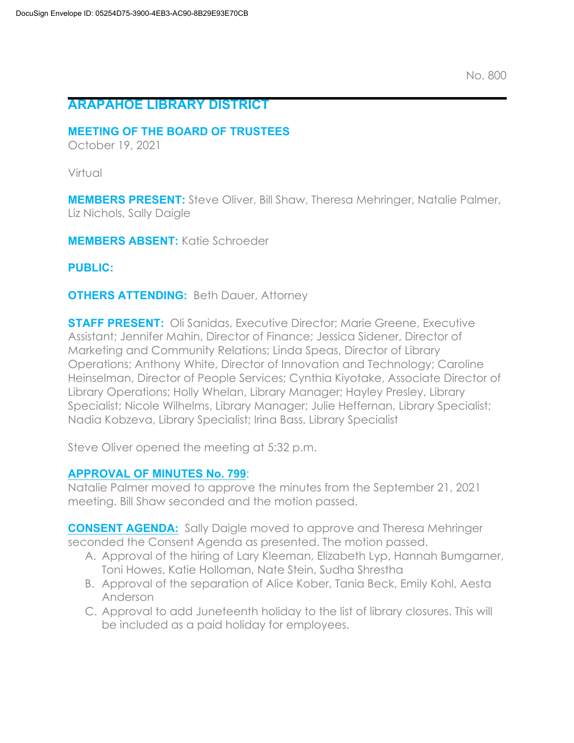# **ARAPAHOE LIBRARY DISTRICT**

### **MEETING OF THE BOARD OF TRUSTEES**

October 19, 2021

Virtual

**MEMBERS PRESENT:** Steve Oliver, Bill Shaw, Theresa Mehringer, Natalie Palmer, Liz Nichols, Sally Daigle

**MEMBERS ABSENT:** Katie Schroeder

**PUBLIC:**

**OTHERS ATTENDING:** Beth Dauer, Attorney

**STAFF PRESENT:** Oli Sanidas, Executive Director; Marie Greene, Executive Assistant; Jennifer Mahin, Director of Finance; Jessica Sidener, Director of Marketing and Community Relations; Linda Speas, Director of Library Operations; Anthony White, Director of Innovation and Technology; Caroline Heinselman, Director of People Services; Cynthia Kiyotake, Associate Director of Library Operations; Holly Whelan, Library Manager; Hayley Presley, Library Specialist; Nicole Wilhelms, Library Manager; Julie Heffernan, Library Specialist; Nadia Kobzeva, Library Specialist; Irina Bass, Library Specialist

Steve Oliver opened the meeting at 5:32 p.m.

## **APPROVAL OF MINUTES No. 799**:

Natalie Palmer moved to approve the minutes from the September 21, 2021 meeting. Bill Shaw seconded and the motion passed.

**CONSENT AGENDA:** Sally Daigle moved to approve and Theresa Mehringer seconded the Consent Agenda as presented. The motion passed.

- A. Approval of the hiring of Lary Kleeman, Elizabeth Lyp, Hannah Bumgarner, Toni Howes, Katie Holloman, Nate Stein, Sudha Shrestha
- B. Approval of the separation of Alice Kober, Tania Beck, Emily Kohl, Aesta Anderson
- C. Approval to add Juneteenth holiday to the list of library closures. This will be included as a paid holiday for employees.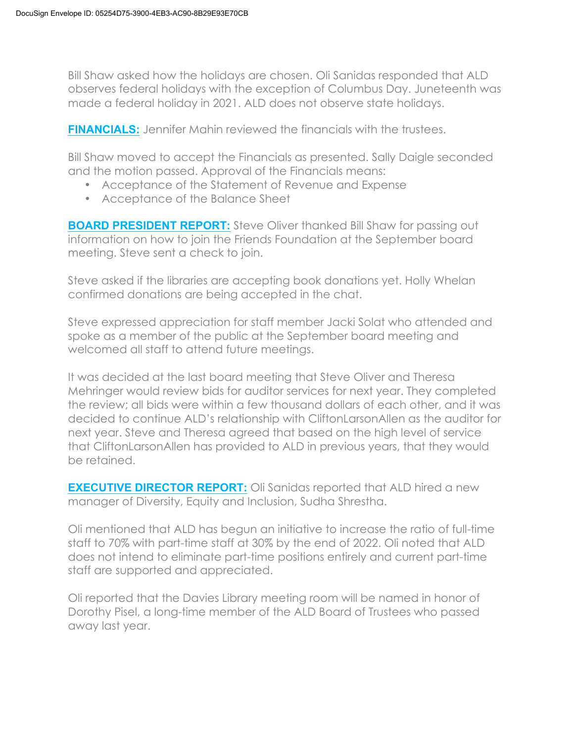Bill Shaw asked how the holidays are chosen. Oli Sanidas responded that ALD observes federal holidays with the exception of Columbus Day. Juneteenth was made a federal holiday in 2021. ALD does not observe state holidays.

**FINANCIALS:** Jennifer Mahin reviewed the financials with the trustees.

Bill Shaw moved to accept the Financials as presented. Sally Daigle seconded and the motion passed. Approval of the Financials means:

- Acceptance of the Statement of Revenue and Expense
- Acceptance of the Balance Sheet

**BOARD PRESIDENT REPORT:** Steve Oliver thanked Bill Shaw for passing out information on how to join the Friends Foundation at the September board meeting. Steve sent a check to join.

Steve asked if the libraries are accepting book donations yet. Holly Whelan confirmed donations are being accepted in the chat.

Steve expressed appreciation for staff member Jacki Solat who attended and spoke as a member of the public at the September board meeting and welcomed all staff to attend future meetings.

It was decided at the last board meeting that Steve Oliver and Theresa Mehringer would review bids for auditor services for next year. They completed the review; all bids were within a few thousand dollars of each other, and it was decided to continue ALD's relationship with CliftonLarsonAllen as the auditor for next year. Steve and Theresa agreed that based on the high level of service that CliftonLarsonAllen has provided to ALD in previous years, that they would be retained.

**EXECUTIVE DIRECTOR REPORT:** Oli Sanidas reported that ALD hired a new manager of Diversity, Equity and Inclusion, Sudha Shrestha.

Oli mentioned that ALD has begun an initiative to increase the ratio of full-time staff to 70% with part-time staff at 30% by the end of 2022. Oli noted that ALD does not intend to eliminate part-time positions entirely and current part-time staff are supported and appreciated.

Oli reported that the Davies Library meeting room will be named in honor of Dorothy Pisel, a long-time member of the ALD Board of Trustees who passed away last year.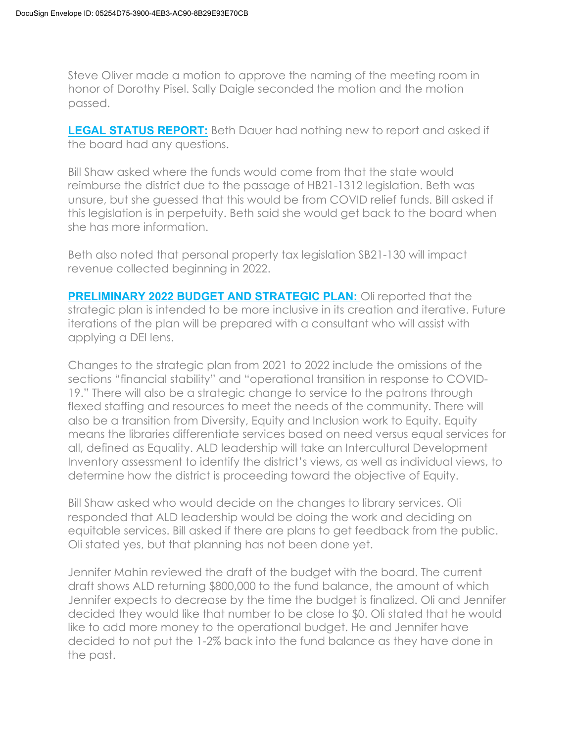Steve Oliver made a motion to approve the naming of the meeting room in honor of Dorothy Pisel. Sally Daigle seconded the motion and the motion passed.

**LEGAL STATUS REPORT:** Beth Dauer had nothing new to report and asked if the board had any questions.

Bill Shaw asked where the funds would come from that the state would reimburse the district due to the passage of HB21-1312 legislation. Beth was unsure, but she guessed that this would be from COVID relief funds. Bill asked if this legislation is in perpetuity. Beth said she would get back to the board when she has more information.

Beth also noted that personal property tax legislation SB21-130 will impact revenue collected beginning in 2022.

**PRELIMINARY 2022 BUDGET AND STRATEGIC PLAN:** Oli reported that the strategic plan is intended to be more inclusive in its creation and iterative. Future iterations of the plan will be prepared with a consultant who will assist with applying a DEI lens.

Changes to the strategic plan from 2021 to 2022 include the omissions of the sections "financial stability" and "operational transition in response to COVID-19." There will also be a strategic change to service to the patrons through flexed staffing and resources to meet the needs of the community. There will also be a transition from Diversity, Equity and Inclusion work to Equity. Equity means the libraries differentiate services based on need versus equal services for all, defined as Equality. ALD leadership will take an Intercultural Development Inventory assessment to identify the district's views, as well as individual views, to determine how the district is proceeding toward the objective of Equity.

Bill Shaw asked who would decide on the changes to library services. Oli responded that ALD leadership would be doing the work and deciding on equitable services. Bill asked if there are plans to get feedback from the public. Oli stated yes, but that planning has not been done yet.

Jennifer Mahin reviewed the draft of the budget with the board. The current draft shows ALD returning \$800,000 to the fund balance, the amount of which Jennifer expects to decrease by the time the budget is finalized. Oli and Jennifer decided they would like that number to be close to \$0. Oli stated that he would like to add more money to the operational budget. He and Jennifer have decided to not put the 1-2% back into the fund balance as they have done in the past.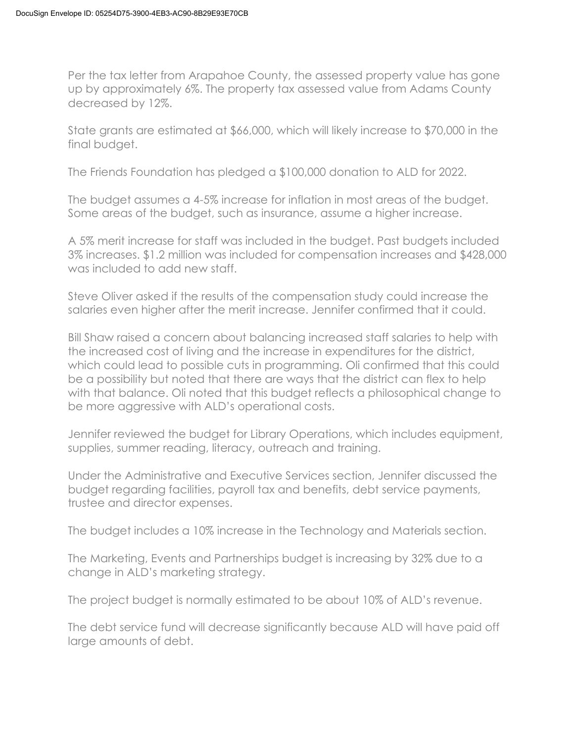Per the tax letter from Arapahoe County, the assessed property value has gone up by approximately 6%. The property tax assessed value from Adams County decreased by 12%.

State grants are estimated at \$66,000, which will likely increase to \$70,000 in the final budget.

The Friends Foundation has pledged a \$100,000 donation to ALD for 2022.

The budget assumes a 4-5% increase for inflation in most areas of the budget. Some areas of the budget, such as insurance, assume a higher increase.

A 5% merit increase for staff was included in the budget. Past budgets included 3% increases. \$1.2 million was included for compensation increases and \$428,000 was included to add new staff.

Steve Oliver asked if the results of the compensation study could increase the salaries even higher after the merit increase. Jennifer confirmed that it could.

Bill Shaw raised a concern about balancing increased staff salaries to help with the increased cost of living and the increase in expenditures for the district, which could lead to possible cuts in programming. Oli confirmed that this could be a possibility but noted that there are ways that the district can flex to help with that balance. Oli noted that this budget reflects a philosophical change to be more aggressive with ALD's operational costs.

Jennifer reviewed the budget for Library Operations, which includes equipment, supplies, summer reading, literacy, outreach and training.

Under the Administrative and Executive Services section, Jennifer discussed the budget regarding facilities, payroll tax and benefits, debt service payments, trustee and director expenses.

The budget includes a 10% increase in the Technology and Materials section.

The Marketing, Events and Partnerships budget is increasing by 32% due to a change in ALD's marketing strategy.

The project budget is normally estimated to be about 10% of ALD's revenue.

The debt service fund will decrease significantly because ALD will have paid off large amounts of debt.